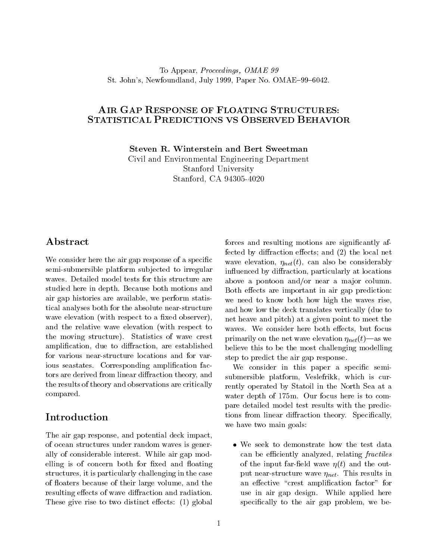### To Appear, Proceedings, OMAE 99 St. John's, Newfoundland, July 1999, Paper No. OMAE-99-6042.

## AIR GAP RESPONSE OF FLOATING STRUCTURES: STATISTICAL PREDICTIONS VS OBSERVED BEHAVIOR

Steven R. Winterstein and Bert Sweetman

Civil and Environmental Engineering Department Stanford University Stanford, CA 94305-4020

# Abstract

We consider here the air gap response of a specific semi-submersible platform subjected to irregular waves. Detailed model tests for this structure are studied here in depth. Because both motions and air gap histories are available, we perform statistical analyses both for the absolute near-structure wave elevation (with respect to a fixed observer), and the relative wave elevation (with respect to the moving structure). Statistics of wave crest amplification, due to diffraction, are established for various near-structure locations and for various seastates. Corresponding amplification factors are derived from linear diffraction theory, and the results of theory and observations are critically compared.

# Introduction

The air gap response, and potential deck impact, of ocean structures under random waves is generally of considerable interest. While air gap modelling is of concern both for fixed and floating structures, it is particularly challenging in the case of floaters because of their large volume, and the resulting effects of wave diffraction and radiation. These give rise to two distinct effects:  $(1)$  global

forces and resulting motions are significantly affected by diffraction effects; and  $(2)$  the local net wave elevation,  $\eta_{net}(t)$ , can also be considerably influenced by diffraction, particularly at locations above a pontoon and/or near a major column. Both effects are important in air gap prediction: we need to know both how high the waves rise, and how low the deck translates vertically (due to net heave and pitch) at a given point to meet the waves. We consider here both effects, but focus primarily on the net wave elevation  $\eta_{net}(t)$ —as we believe this to be the most challenging modelling step to predict the air gap response.

We consider in this paper a specific semisubmersible platform, Veslefrikk, which is currently operated by Statoil in the North Sea at a water depth of 175m. Our focus here is to compare detailed model test results with the predictions from linear diffraction theory. Specifically, we have two main goals:

 We seek to demonstrate how the test data can be efficiently analyzed, relating fractiles of the input far-field wave  $\eta(t)$  and the output near-structure wave  $\eta_{net}$ . This results in an effective "crest amplification factor" for use in air gap design. While applied here specifically to the air gap problem, we be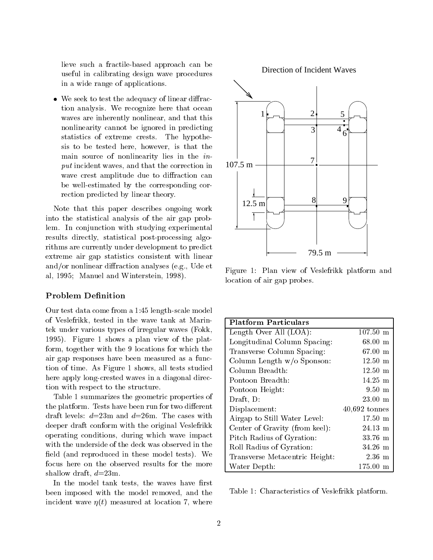lieve such a fractile-based approach can be useful in calibrating design wave procedures in a wide range of applications.

 $\bullet$  We seek to test the adequacy of linear diffraction analysis. We recognize here that ocean waves are inherently nonlinear, and that this nonlinearity cannot be ignored in predicting statistics of extreme crests. The hypothesis to be tested here, however, is that the main source of nonlinearity lies in the input incident waves, and that the correction in wave crest amplitude due to diffraction can be well-estimated by the corresponding correction predicted by linear theory.

Note that this paper describes ongoing work into the statistical analysis of the air gap problem. In conjunction with studying experimental results directly, statistical post-processing algorithms are currently under development to predict extreme air gap statistics consistent with linear and/or nonlinear diffraction analyses (e.g., Ude et al, 1995; Manuel and Winterstein, 1998).

#### Problem Definition

Our test data come from a 1:45 length-scale model of Veslefrikk, tested in the wave tank at Marintek under various types of irregular waves (Fokk, 1995). Figure 1 shows a plan view of the platform, together with the 9 locations for which the air gap responses have been measured asa function of time. As Figure 1 shows, all tests studied here apply long-crested waves in a diagonal direction with respect to the structure.

Table 1 summarizes the geometric properties of the platform. Tests have been run for two different draft levels:  $d=23m$  and  $d=26m$ . The cases with deeper draft conform with the original Veslefrikk operating conditions, during which wave impact with the underside of the deck was observed in the field (and reproduced in these model tests). We focus here on the observed results for the more shallow draft,  $d=23$ m.

In the model tank tests, the waves have first been imposed with the model removed, and the incident wave  $\eta(t)$  measured at location 7, where



Figure 1: Plan view of Veslefrikk platform and location of air gap probes.

| <b>Platform Particulars</b>    |                    |
|--------------------------------|--------------------|
| Length Over All $(LOA)$ :      | $107.50 \text{ m}$ |
| Longitudinal Column Spacing:   | $68.00 \;{\rm m}$  |
| Transverse Column Spacing:     | $67.00 \text{ m}$  |
| Column Length $w/o$ Sponson:   | $12.50 \text{ m}$  |
| Column Breadth:                | $12.50$ m          |
| Pontoon Breadth:               | $14.25 \text{ m}$  |
| Pontoon Height:                | $9.50 \text{ m}$   |
| Draft, D:                      | $23.00 \text{ m}$  |
| Displacement:                  | $40,692$ tonnes    |
| Airgap to Still Water Level:   | $17.50 \text{ m}$  |
| Center of Gravity (from keel): | $24.13 \text{ m}$  |
| Pitch Radius of Gyration:      | $33.76 \text{ m}$  |
| Roll Radius of Gyration:       | $34.26$ m          |
| Transverse Metacentric Height: | $2.36~\mathrm{m}$  |
| Water Depth:                   | $175.00 \text{ m}$ |

Table 1: Characteristics of Veslefrikk platform.

#### Direction of Incident Waves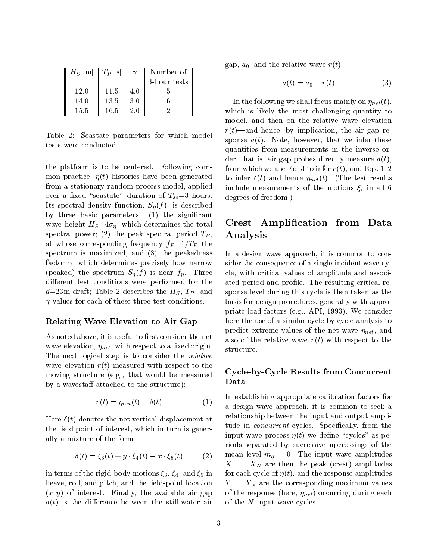| $H_S$  m | $T_P$ $s$ |     | Number of    |  |
|----------|-----------|-----|--------------|--|
|          |           |     | 3-hour tests |  |
| 12.0     | 11.5      | 4.0 |              |  |
| 14.0     | 13.5      | 3.0 |              |  |
| 15.5     | 16.5      | 20  |              |  |

Table 2: Seastate parameters for which model tests were conducted.

the platform is tobe centered. Following common practice,  $\eta(t)$  histories have been generated from a stationary random process model, applied over a fixed "seastate" duration of  $T_{ss}=3$  hours. Its spectral density function,  $S_n(f)$ , is described by three basic parameters: (1) the significant wave height  $H_S=4\sigma_\eta$ , which determines the total spectral power; (2) the peak spectral period  $T_P$ , at whose corresponding frequency  $f_P = 1/T_P$  the spectrum is maximized, and (3) the peakedness factor  $\gamma$ , which determines precisely how narrow (peaked) the spectrum  $S_n(f)$  is near  $f_p$ . Three different test conditions were performed for the  $d=23m$  draft; Table 2 describes the  $H<sub>S</sub>$ ,  $T<sub>P</sub>$ , and  $\gamma$  values for each of these three test conditions.

#### Relating Wave Elevation to Air Gap

As noted above, it is useful to first consider the net wave elevation,  $\eta_{net}$ , with respect to a fixed origin. The next logical step is to consider the *relative* wave elevation  $r(t)$  measured with respect to the moving structure (e.g., that would be measured by a wavestaff attached to the structure):

$$
r(t) = \eta_{net}(t) - \delta(t) \tag{1}
$$

Here  $\delta(t)$  denotes the net vertical displacement at the field point of interest, which in turn is generally a mixture of the form

$$
\delta(t) = \xi_3(t) + y \cdot \xi_4(t) - x \cdot \xi_5(t) \tag{2}
$$

in terms of the rigid-body motions  $\xi_3$ ,  $\xi_4$ , and  $\xi_5$  in heave, roll, and pitch, and the field-point location  $(x, y)$  of interest. Finally, the available air gap  $a(t)$  is the difference between the still-water air gap,  $a_0$ , and the relative wave  $r(t)$ :

$$
a(t) = a_0 - r(t) \tag{3}
$$

In the following we shall focus mainly on  $\eta_{net}(t)$ , which is likely the most challenging quantity to model, and then on the relative wave elevation  $r(t)$ —and hence, by implication, the air gap response  $a(t)$ . Note, however, that we infer these quantities from measurements in the inverse order; that is, air gap probes directly measure  $a(t)$ , from which we use Eq. 3 to infer  $r(t)$ , and Eqs. 1-2 to infer  $\delta(t)$  and hence  $\eta_{net}(t)$ . (The test results include measurements of the motions  $\xi_i$  in all 6 degrees of freedom.)

# Crest Amplication from Data Analysis

In a design wave approach, it is common to consider the consequence of a single incident wave cycle, with critical values of amplitude and associated period and profile. The resulting critical response level during this cycle is then taken as the basis for design procedures, generally with appropriate load factors (e.g., API, 1993). We consider here the use of a similar cycle-by-cycle analysis to predict extreme values of the net wave  $\eta_{net}$ , and also of the relative wave  $r(t)$  with respect to the structure.

### Cycle-by-Cycle Results from Concurrent Data

In establishing appropriate calibration factors for a design wave approach, it is common to seek a relationship between the input and output amplitude in *concurrent* cycles. Specifically, from the input wave process  $\eta(t)$  we define "cycles" as periods separated by successive upcrossings of the mean level  $m_{\eta} = 0$ . The input wave amplitudes  $X_1$  ...  $X_N$  are then the peak (crest) amplitudes for each cycle of  $\eta(t)$ , and the response amplitudes  $Y_1 \ldots Y_N$  are the corresponding maximum values of the response (here,  $\eta_{net}$ ) occurring during each of the <sup>N</sup> input wave cycles.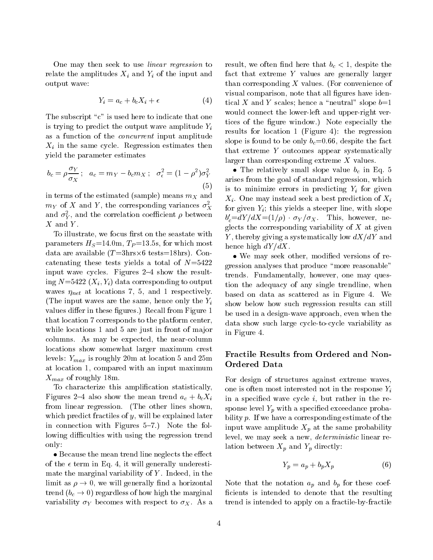One may then seek to use linear regression to relate the amplitudes  $X_i$  and  $Y_i$  of the input and output wave:

$$
Y_i = a_c + b_c X_i + \epsilon \tag{4}
$$

The subscript " $c$ " is used here to indicate that one is trying to predict the output wave amplitude  $Y_i$ as a function of the concurrent input amplitude  $X_i$  in the same cycle. Regression estimates then yield the parameter estimates

$$
b_c = \rho \frac{\sigma_Y}{\sigma_X}; \quad a_c = m_Y - b_c m_X; \quad \sigma_\epsilon^2 = (1 - \rho^2) \sigma_Y^2
$$

in terms of the estimated (sample) means  $m_X$  and  $m_Y$  of X and Y, the corresponding variances  $\sigma_X^2$ and  $\sigma_Y^2$ , and the correlation coefficient  $\rho$  between  $b' = dY$  $X$  and  $Y$ .

To illustrate, we focus first on the seastate with parameters  $H_S = 14.0$ m,  $T_P = 13.5$ s, for which most data are available (T  $\sim$  3 tests: 18hrs-18hrs-18hrs-18hrs-18hrs-18hrs-18hrs-18hrs-18hrs-18hrs-18hrs-18hrs-18 catenating these tests yields a total of  $N=5422$ input wave cycles. Figures  $2-4$  show the resulting  $N=5422$   $(X_i, Y_i)$  data corresponding to output waves  $\eta_{net}$  at locations 7, 5, and 1 respectively. (The input waves are the same, hence only the  $Y_i$ values differ in these figures.) Recall from Figure 1 that location 7 corresponds to the platform center, while locations 1 and 5 are just in front of major columns. As may be expected, the near-column locations show somewhat larger maximum crest levels:  $Y_{max}$  is roughly 20m at location 5 and 25m at location 1, compared with an input maximum  $X_{max}$  of roughly 18m.

To characterize this amplication statistically, Figures 2-4 also show the mean trend  $a_c + b_c X_i$ from linear regression. (The other lines shown, which predict fractiles of y, will be explained later in connection with Figures  $5-7$ .) Note the following difficulties with using the regression trend only:

 $\bullet$  Because the mean trend line neglects the effect of the  $\epsilon$  term in Eq. 4, it will generally underestimate the marginal variability of  $Y$ . Indeed, in the limit as  $\rho \rightarrow 0$ , we will generally find a horizontal trend  $(b_c \rightarrow 0)$  regardless of how high the marginal variability  $\sigma_Y$  becomes with respect to  $\sigma_X$ . As a result, we often find here that  $b_c < 1$ , despite the fact that extreme <sup>Y</sup> values are generally larger than corresponding  $X$  values. (For convenience of visual comparison, note that all figures have identical X and Y scales; hence a "neutral" slope  $b=1$ would connect the lower-left and upper-right vertices of the figure window.) Note especially the results for location 1 (Figure 4): the regression slope is found to be only  $b_c=0.66$ , despite the fact that extreme <sup>Y</sup> outcomes appear systematically larger than corresponding extreme <sup>X</sup> values.

 $\epsilon$  (1,  $\epsilon$  )<sup>-1</sup> arises from the goal of standard regression, which  $\zeta^{(3)}$  is to minimize errors in predicting  $Y_i$  for given  $\frac{1}{2}$  for  $\frac{1}{2}$ ,  $\frac{1}{2}$  and  $\frac{1}{2}$  for a steeper line, with slope • The relatively small slope value  $b_c$  in Eq. 5  $X_i$ . One may instead seek a best prediction of  $X_i$  $b_c = aY/aA = (1/\rho) \cdot \sigma_Y/\sigma_X$ . Inis, nowever, neglects the corresponding variability of  $X$  at given Y, thereby giving a systematically low  $dX/dY$  and hence high  $dY/dX$ .

> We may seek other, modied versions of regression analyses that produce "more reasonable" trends. Fundamentally, however, one may question the adequacy of any single trendline, when based on data as scattered as in Figure 4.We show below how such regression results can still be used in a design-wave approach, even when the data show such large cycle-to-cycle variability as in Figure 4.

### Fractile Results from Ordered and Non-Ordered Data

For design of structures against extreme waves, one is often most interested not in the response  $Y_i$ in a specified wave cycle  $i$ , but rather in the response level  $Y_p$  with a specified exceedance probability p. If we have a corresponding estimate of the input wave amplitude  $X_p$  at the same probability level, we may seek a new, deterministic linear relation between  $X_p$  and  $Y_p$  directly:

$$
Y_p = a_p + b_p X_p \tag{6}
$$

Note that the notation  $a_p$  and  $b_p$  for these coefficients is intended to denote that the resulting trend is intended to apply on a fractile-by-fractile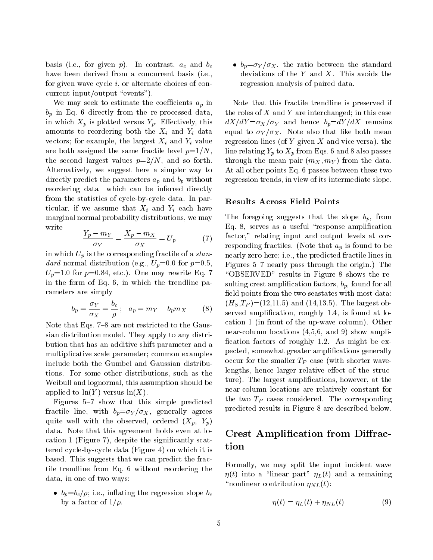basis (i.e., for given  $p$ ). In contrast,  $a_c$  and  $b_c$ have been derived from a concurrent basis (i.e., for given wave cycle i, or alternate choices of concurrent input/output "events").

We may seek to estimate the coefficients  $a_p$  in  $b_p$  in Eq. 6 directly from the re-processed data, in which  $X_p$  is plotted versus  $Y_p$ . Effectively, this amounts to reordering both the  $X_i$  and  $Y_i$  data vectors; for example, the largest  $X_i$  and  $Y_i$  value are both assigned the same fractile level  $p=1/N$ , the second largest values  $p=2/N$ , and so forth. Alternatively, we suggest here a simpler way to directly predict the parameters  $a_p$  and  $b_p$  without reordering data—which can be inferred directly from the statistics of cycle-by-cycle data. In particular, if we assume that  $X_i$  and  $Y_i$  each have marginal normal probability distributions, we may write

$$
\frac{Y_p - m_Y}{\sigma_Y} = \frac{X_p - m_X}{\sigma_X} = U_p \tag{7}
$$

in which  $U_p$  is the corresponding fractile of a *stan*dard normal distribution (e.g.,  $U_p$ =0.0 for  $p$ =0.5,  $U_p=1.0$  for  $p=0.84$ , etc.). One may rewrite Eq. 7 in the form of Eq. 6, in which the trendline parameters are simply

$$
b_p = \frac{\sigma_Y}{\sigma_X} = \frac{b_c}{\rho}; \quad a_p = m_Y - b_p m_X \qquad (8) \qquad \frac{(H_{\text{max}} - H_{\text{max}})}{\rho}
$$

Note that Eqs.  $7-8$  are not restricted to the Gaussian distribution model. They apply to any distribution that has an additive shift parameter and a multiplicative scale parameter; common examples include both the Gumbel and Gaussian distributions. For some other distributions, such as the Weibull and lognormal, this assumption should be applied to  $ln(Y)$  versus  $ln(X)$ .

Figures 5-7 show that this simple predicted fractile line, with  $b_p = \sigma_Y / \sigma_X$ , generally agrees quite well with the observed, ordered  $(X_p, Y_p)$ data. Note that this agreement holds even at location 1 (Figure 7), despite the signicantly scattered cycle-by-cycle data (Figure 4) on which it is based. This suggests that we can predict the fractile trendline from Eq. 6 without reordering the data, in one of two ways:

•  $b_p = b_c/\rho$ ; i.e., inflating the regression slope  $b_c$ by a factor of  $1/\rho$ .

 $\bullet$   $b_p = \sigma_Y / \sigma_X$ , the ratio between the standard deviations of the  $Y$  and  $X$ . This avoids the regression analysis of paired data.

Note that this fractile trendline is preserved if the roles of  $X$  and  $Y$  are interchanged; in this case  $dX/dY = \sigma_X/\sigma_Y$  and hence  $b_p = dY/dX$  remains equal to  $\sigma_Y/\sigma_X$ . Note also that like both mean regression lines (of  $Y$  given  $X$  and vice versa), the line relating  $Y_p$  to  $X_p$  from Eqs. 6 and 8 also passes through the mean pair  $(m_X, m_Y)$  from the data. At all other points Eq. 6 passes between these two regression trends, in view of its intermediate slope.

#### Results Across Field Points

The foregoing suggests that the slope  $b_p$ , from Eq. 8, serves as a useful "response amplification factor," relating input and output levels at corresponding fractiles. (Note that  $a_p$  is found to be nearly zero here; i.e., the predicted fractile lines in Figures 5–7 nearly pass through the origin.) The \OBSERVED" results in Figure 8 shows the resulting crest amplification factors,  $b_p$ , found for all field points from the two seastates with most data:  $(H_S, T_P)$  = (12,11.5) and (14,13.5). The largest observed amplification, roughly 1.4, is found at location 1 (in front of the up-wave column). Other near-column locations (4,5,6, and 9) show ampli fication factors of roughly 1.2. As might be  $ex$ pected, somewhat greater amplications generally occur for the smaller  $T_P$  case (with shorter wavelengths, hence larger relative effect of the structure). The largest amplications, however, at the near-column locations are relatively constant for the two  $T_P$  cases considered. The corresponding predicted results in Figure 8 are described below.

# Crest Amplification from Diffraction

Formally, we may split the input incident wave  $\eta(t)$  into a "linear part"  $\eta_L(t)$  and a remaining "nonlinear contribution  $\eta_{NL}(t)$ :

$$
\eta(t) = \eta_L(t) + \eta_{NL}(t) \tag{9}
$$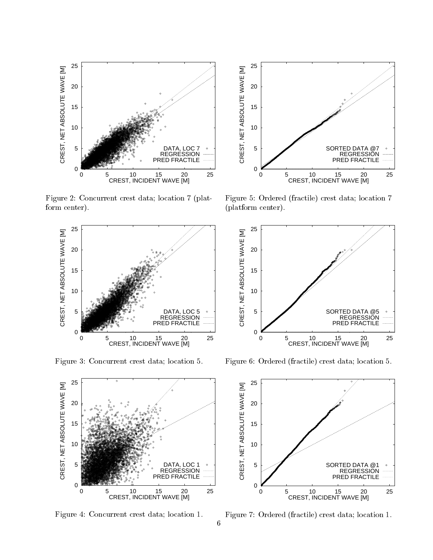

Figure 2: Concurrent crest data; location 7 (platform center).



Figure 3: Concurrent crest data; location 5.



Figure 4: Concurrent crest data; location 1.



Figure 5: Ordered (fractile) crest data; location 7 (platform center).



Figure 6: Ordered (fractile) crest data; location 5.



Figure 7: Ordered (fractile) crest data; location 1.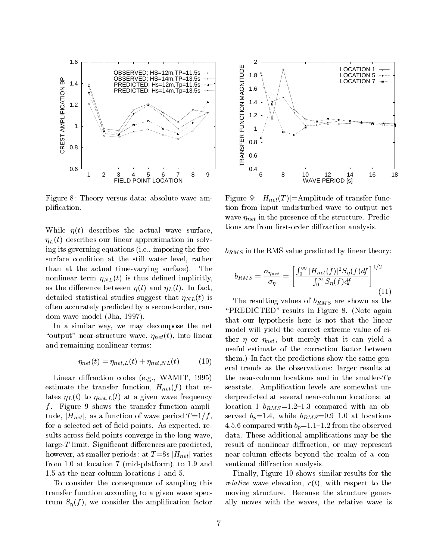

Figure 8: Theory versus data: absolute wave amplication.

While  $\eta(t)$  describes the actual wave surface,  $\eta_L(t)$  describes our linear approximation in solving its governing equations (i.e., imposing the freesurface condition at the still water level, rather than at the actual time-varying surface). The nonlinear term  $\eta_{NL}(t)$  is thus defined implicitly, as the difference between  $\eta(t)$  and  $\eta_L(t)$ . In fact, detailed statistical studies suggest that  $\eta_{NL}(t)$  is often accurately predicted by a second-order, random wave model (Jha, 1997).

In a similar way, we may decompose the net "output" near-structure wave,  $\eta_{net}(t)$ , into linear and remaining nonlinear terms:

$$
\eta_{net}(t) = \eta_{net,L}(t) + \eta_{net,NL}(t) \tag{10}
$$

Linear diffraction codes (e.g., WAMIT, 1995) estimate the transfer function,  $H_{net}(f)$  that relates  $\eta_L(t)$  to  $\eta_{net,L}(t)$  at a given wave frequency  $f$ . Figure 9 shows the transfer function amplitude,  $|H_{net}|$ , as a function of wave period  $T = 1/f$ , for a selected set of field points. As expected, results across field points converge in the long-wave,  $\langle \text{large-}T \rangle$  limit. Significant differences are predicted, however, at smaller periods: at  $T = 8s |H_{net}|$  varies from 1.0 at location 7 (mid-platform), to 1.9 and 1.5 at the near-column locations 1 and 5.

To consider the consequence of sampling this transfer function according to a given wave spectrum  $S_{\eta}(f)$ , we consider the amplification factor



Figure 9:  $|H_{net}(T)|$ =Amplitude of transfer function from input undisturbed wave to output net wave  $\eta_{net}$  in the presence of the structure. Predictions are from first-order diffraction analysis.

 $b_{RMS}$  in the RMS value predicted by linear theory:

$$
b_{RMS} = \frac{\sigma_{\eta_{net}}}{\sigma_{\eta}} = \left[ \frac{\int_0^\infty |H_{net}(f)|^2 S_{\eta}(f) df}{\int_0^\infty S_{\eta}(f) df} \right]^{1/2} \tag{11}
$$

The resulting values of  $b_{RMS}$  are shown as the "PREDICTED" results in Figure 8. (Note again that our hypothesis here is not that the linear model will yield the correct extreme value of either  $\eta$  or  $\eta_{net}$ , but merely that it can yield a useful estimate of the correction factor between them.) In fact the predictions show the same general trends as the observations: larger results at the near-column locations and in the smaller- $T_P$ seastate. Amplification levels are somewhat underpredicted at several near-column locations: at location 1  $b_{RMS}=1.2-1.3$  compared with an observed  $b_p=1.4$ , while  $b_{RMS}=0.9-1.0$  at locations 4,5,6 compared with  $b_p$ =1.1-1.2 from the observed data. These additional amplications may be the result of nonlinear diffraction, or may represent near-column effects beyond the realm of a conventional diffraction analysis.

Finally, Figure 10 shows similar results for the *relative* wave elevation,  $r(t)$ , with respect to the moving structure. Because the structure generally moves with the waves, the relative wave is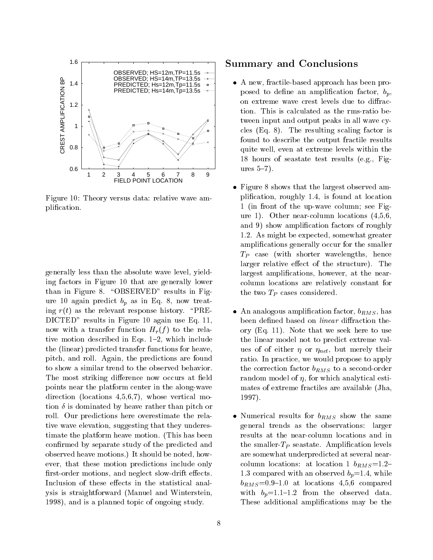

Figure 10: Theory versus data: relative wave amplication.

generally less than the absolute wave level, yielding factors in Figure 10 that are generally lower than in Figure 8. "OBSERVED" results in Figure 10 again predict  $b_p$  as in Eq. 8, now treating  $r(t)$  as the relevant response history. "PRE-DICTED" results in Figure 10 again use Eq. 11, now with a transfer function  $H_r(f)$  to the relative motion described in Eqs.  $1-2$ , which include the (linear) predicted transfer functions for heave, pitch, and roll. Again, the predictions are found to show a similar trend to the observed behavior. The most striking difference now occurs at field points near the platform center in the along-wave direction (locations 4,5,6,7), whose vertical motion  $\delta$  is dominated by heave rather than pitch or roll. Our predictions here overestimate the relative wave elevation, suggesting that they underestimate the platform heave motion. (This has been confirmed by separate study of the predicted and observed heave motions.) It should be noted, however, that these motion predictions include only first-order motions, and neglect slow-drift effects. Inclusion of these effects in the statistical analysis is straightforward (Manuel and Winterstein, 1998), and is a planned topic of ongoing study.

# Summary and Conclusions

- A new, fractile-based approach has been proposed to define an amplification factor,  $b_p$ , on extreme wave crest levels due to diffraction. This is calculated as the rms-ratio between input and output peaks in all wave cycles (Eq. 8). The resulting scaling factor is found to describe the output fractile results quite well, even atextreme levels within the 18 hours of seastate test results (e.g., Figures  $5-7$ ).
- Figure 8 shows that the largest observed amplication, roughly 1.4, is found atlocation 1 (in front of the up-wave column; see Figure 1). Other near-column locations (4,5,6, and 9) show amplification factors of roughly 1.2. As might be expected, somewhat greater amplications generally occur for the smaller  $T_P$  case (with shorter wavelengths, hence larger relative effect of the structure). The largest amplifications, however, at the nearcolumn locations are relatively constant for the two  $T_P$  cases considered.
- An analogous amplification factor,  $b_{RMS}$ , has been defined based on *linear* diffraction theory (Eq. 11). Note that we seek here to use the linear model not to predict extreme values of of either  $\eta$  or  $\eta_{net}$ , but merely their ratio. In practice, we would propose to apply the correction factor  $b_{RMS}$  to a second-order random model of  $\eta$ , for which analytical estimates of extreme fractiles are available (Jha, 1997).
- Numerical results for  $b_{RMS}$  show the same general trends as the observations: larger results at the near-column locations and in the smaller- $T_P$  seastate. Amplification levels are somewhat underpredicted at several nearcolumn locations: at location 1  $b_{RMS}=1.2$ 1.3 compared with an observed  $b_p=1.4$ , while  $b_{RMS}=0.9{\text -}1.0$  at locations 4,5,6 compared with  $b_p=1.1{-}1.2$  from the observed data. These additional amplications may be the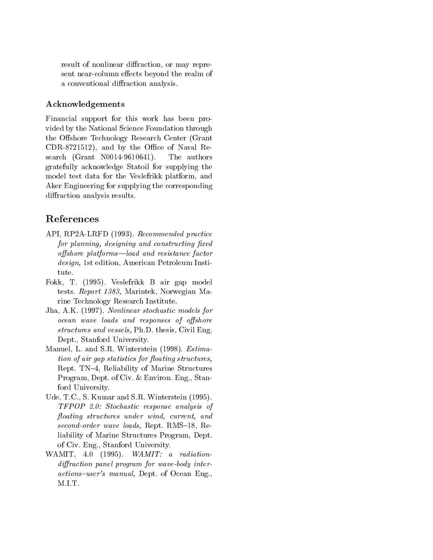result of nonlinear diffraction, or may represent near-column effects beyond the realm of a conventional diffraction analysis.

## Acknowledgements

Financial support for this work has been provided by the National Science Foundation through the Offshore Technology Research Center (Grant  $CDR-8721512$ , and by the Office of Naval Research (Grant N0014-9610641). The authors gratefully acknowledge Statoil for supplying the model test data for the Veslefrikk platform, and Aker Engineering for supplying the corresponding diffraction analysis results.

# References

- API, RP2A-LRFD (1993). Recommended practice for planning, designing and constructing fixed  $offshore$   $platforms$   $-load$  and resistance factor design, 1st edition, American Petroleum Institute.
- Fokk, T. (1995). Veslefrikk B air gap model tests. Report 1383, Marintek, Norwegian Marine Technology Research Institute.
- Jha, A.K. (1997). Nonlinear stochastic models for ocean wave loads and responses of offshore structures and vessels, Ph.D. thesis, Civil Eng. Dept., Stanford University.
- Manuel, L. and S.R. Winterstein (1998). Estimation of air qap statistics for floating structures, Rept. TN-4, Reliability of Marine Structures Program, Dept. of Civ. & Environ. Eng., Stanford University.
- Ude, T.C., S. Kumar and S.R. Winterstein (1995). TFPOP 2.0: Stochastic response analysis of floating structures under wind, current, and second-order wave loads, Rept. RMS-18, Reliability of Marine Structures Program, Dept. of Civ. Eng., Stanford University.
- WAMIT, 4.0 (1995). WAMIT: a radiationdiffraction panel program for wave-body interactions-user's manual, Dept. of Ocean Eng.,